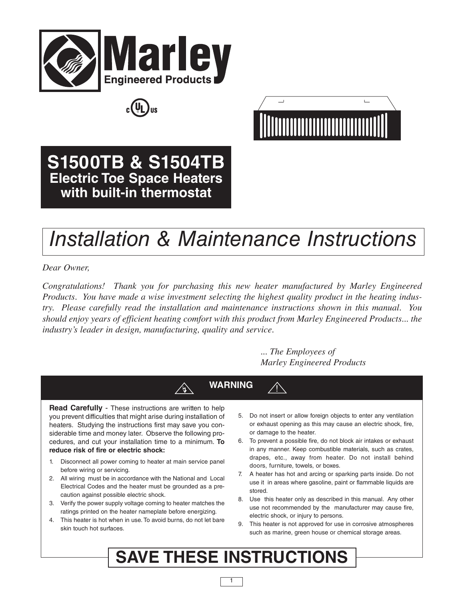





**S1500TB & S1504TB Electric Toe Space Heaters with built-in thermostat**

# *Installation & Maintenance Instructions*

*Dear Owner,*

*Congratulations! Thank you for purchasing this new heater manufactured by Marley Engineered Products. You have made a wise investment selecting the highest quality product in the heating industry. Please carefully read the installation and maintenance instructions shown in this manual. You should enjoy years of efficient heating comfort with this product from Marley Engineered Products... the industry's leader in design, manufacturing, quality and service.*

> *... The Employees of Marley Engineered Products*

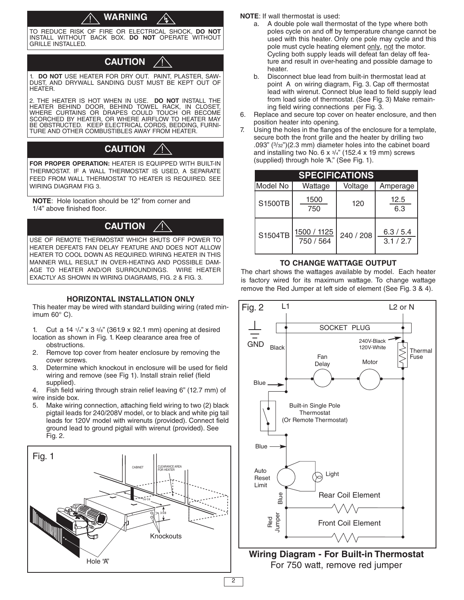#### **WARNING** <u>ו</u>

TO REDUCE RISK OF FIRE OR ELECTRICAL SHOCK, **DO NOT** INSTALL WITHOUT BACK BOX. **DO NOT** OPERATE WITHOUT GRILLE INSTALLED.

# **CAUTION**

!<br>!

1. **DO NOT** USE HEATER FOR DRY OUT. PAINT, PLASTER, SAW-DUST, AND DRYWALL SANDING DUST MUST BE KEPT OUT OF HEATER.

2. THE HEATER IS HOT WHEN IN USE. **DO NOT** INSTALL THE HEATER BEHIND DOOR, BEHIND TOWEL RACK, IN CLOSET, WHERE CURTAINS OR DRAPES COULD TOUCH OR BECOME SCORCHED BY HEATER, OR WHERE AIRFLOW TO HEATER MAY BE OBSTRUCTED. KEEP ELECTRICAL CORDS, BEDDING, FURNI-TURE AND OTHER COMBUSTIBLES AWAY FROM HEATER.

# **CAUTION**

**FOR PROPER OPERATION:** HEATER IS EQUIPPED WITH BUILT-IN THERMOSTAT. IF A WALL THERMOSTAT IS USED, A SEPARATE FEED FROM WALL THERMOSTAT TO HEATER IS REQUIRED. SEE WIRING DIAGRAM FIG 3.

**NOTE**: Hole location should be 12" from corner and 1/4" above finished floor.

# **CAUTION**

USE OF REMOTE THERMOSTAT WHICH SHUTS OFF POWER TO HEATER DEFEATS FAN DELAY FEATURE AND DOES NOT ALLOW HEATER TO COOL DOWN AS REQUIRED. WIRING HEATER IN THIS MANNER WILL RESULT IN OVER-HEATING AND POSSIBLE DAM-AGE TO HEATER AND/OR SURROUNDINGS. WIRE HEATER EXACTLY AS SHOWN IN WIRING DIAGRAMS, FIG. 2 & FIG. 3.

#### **HORIZONTAL INSTALLATION ONLY**

This heater may be wired with standard building wiring (rated minimum 60° C).

1. Cut a 14  $\frac{1}{4}$ " x 3  $\frac{5}{8}$ " (361.9 x 92.1 mm) opening at desired location as shown in Fig. 1. Keep clearance area free of obstructions.

- 2. Remove top cover from heater enclosure by removing the cover screws.
- 3. Determine which knockout in enclosure will be used for field wiring and remove (see Fig 1). Install strain relief (field supplied).
- 4. Fish field wiring through strain relief leaving 6" (12.7 mm) of wire inside box.
- 5. Make wiring connection, attaching field wiring to two (2) black pigtail leads for 240/208V model, or to black and white pig tail leads for 120V model with wirenuts (provided). Connect field ground lead to ground pigtail with wirenut (provided). See Fig. 2.



**NOTE**: If wall thermostat is used:

- a. A double pole wall thermostat of the type where both poles cycle on and off by temperature change cannot be used with this heater. Only one pole may cycle and this pole must cycle heating element only, not the motor. Cycling both supply leads will defeat fan delay off feature and result in over-heating and possible damage to heater.
- b. Disconnect blue lead from built-in thermostat lead at point A on wiring diagram, Fig. 3. Cap off thermostat lead with wirenut. Connect blue lead to field supply lead from load side of thermostat. (See Fig. 3) Make remaining field wiring connections per Fig. 3.
- 6. Replace and secure top cover on heater enclosure, and then position heater into opening.
- 7. Using the holes in the flanges of the enclosure for a template, secure both the front grille and the heater by drilling two .093" (3/32")(2.3 mm) diameter holes into the cabinet board and installing two No. 6  $\times$  3/4" (152.4  $\times$  19 mm) screws (supplied) through hole "A." (See Fig. 1).

| <b>SPECIFICATIONS</b> |                          |           |                      |  |  |  |
|-----------------------|--------------------------|-----------|----------------------|--|--|--|
| Model No              | Wattage                  | Voltage   | Amperage             |  |  |  |
| S1500TB               | 1500<br>750              | 120       | 12.5<br>6.3          |  |  |  |
| S1504TB               | 1500 / 1125<br>750 / 564 | 240 / 208 | 6.3 / 5.4<br>3.1/2.7 |  |  |  |

#### **TO CHANGE WATTAGE OUTPUT**

The chart shows the wattages available by model. Each heater is factory wired for its maximum wattage. To change wattage remove the Red Jumper at left side of element (See Fig. 3 & 4).



**Wiring Diagram - For Built-in Thermostat** For 750 watt, remove red jumper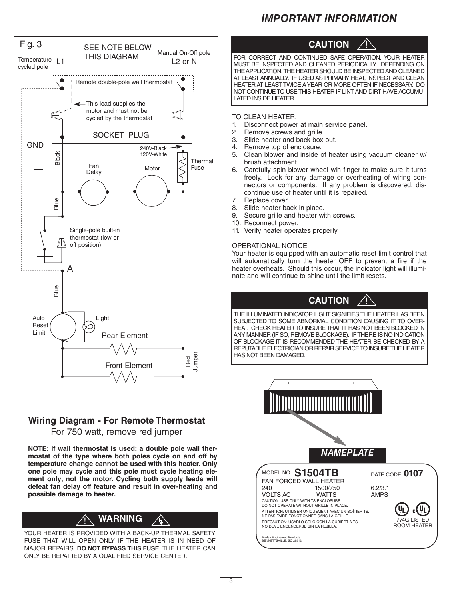# *IMPORTANT INFORMATION*



## **Wiring Diagram - For Remote Thermostat**

For 750 watt, remove red jumper

**NOTE: If wall thermostat is used: a double pole wall thermostat of the type where both poles cycle on and off by temperature change cannot be used with this heater. Only one pole may cycle and this pole must cycle heating element only, not the motor. Cycling both supply leads will defeat fan delay off feature and result in over-heating and possible damage to heater.**



YOUR HEATER IS PROVIDED WITH A BACK-UP THERMAL SAFETY FUSE THAT WILL OPEN ONLY IF THE HEATER IS IN NEED OF MAJOR REPAIRS. **DO NOT BYPASS THIS FUSE**. THE HEATER CAN ONLY BE REPAIRED BY A QUALIFIED SERVICE CENTER.



FOR CORRECT AND CONTINUED SAFE OPERATION, YOUR HEATER MUST BE INSPECTED AND CLEANED PERIODICALLY. DEPENDING ON THE APPLICATION, THE HEATER SHOULD BE INSPECTED AND CLEANED AT LEAST ANNUALLY. IF USED AS PRIMARY HEAT, INSPECT AND CLEAN HEATER AT LEAST TWICEAYEAR OR MORE OFTEN IF NECESSARY. DO NOT CONTINUE TO USE THIS HEATER IF LINT AND DIRT HAVE ACCUMU-LATED INSIDE HEATER.

TO CLEAN HEATER:<br>1. Disconnect power

- Disconnect power at main service panel.
- 2. Remove screws and grille.
- 3. Slide heater and back box out.
- 4. Remove top of enclosure.
- 5. Clean blower and inside of heater using vacuum cleaner w/ brush attachment.
- 6. Carefully spin blower wheel wih finger to make sure it turns freely. Look for any damage or overheating of wiring connectors or components. If any problem is discovered, discontinue use of heater until it is repaired.
- 7. Replace cover.
- 8. Slide heater back in place.
- 9. Secure grille and heater with screws.
- 10. Reconnect power.
- 11. Verify heater operates properly

#### OPERATIONAL NOTICE

Your heater is equipped with an automatic reset limit control that will automatically turn the heater OFF to prevent a fire if the heater overheats. Should this occur, the indicator light will illuminate and will continue to shine until the limit resets.



THE ILLUMINATED INDICATOR LIGHT SIGNIFIESTHE HEATER HAS BEEN SUBJECTED TO SOME ABNORMAL CONDITION CAUSING IT TO OVER-HEAT. CHECK HEATER TO INSURE THAT IT HAS NOT BEEN BLOCKED IN ANY MANNER (IF SO, REMOVE BLOCKAGE). IFTHERE IS NO INDICATION OF BLOCKAGE IT IS RECOMMENDED THE HEATER BE CHECKED BY A REPUTABLE ELECTRICIAN OR REPAIR SERVICE TO INSURE THE HEATER HAS NOT BEEN DAMAGED.

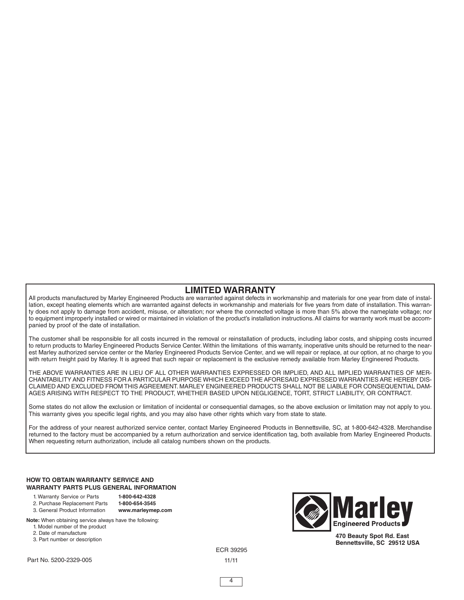### **LIMITED WARRANTY**

All products manufactured by Marley Engineered Products are warranted against defects in workmanship and materials for one year from date of installation, except heating elements which are warranted against defects in workmanship and materials for five years from date of installation. This warranty does not apply to damage from accident, misuse, or alteration; nor where the connected voltage is more than 5% above the nameplate voltage; nor to equipment improperly installed or wired or maintained in violation of the product's installation instructions. All claims for warranty work must be accompanied by proof of the date of installation.

The customer shall be responsible for all costs incurred in the removal or reinstallation of products, including labor costs, and shipping costs incurred to return products to Marley Engineered Products Service Center.Within the limitations of this warranty, inoperative units should be returned to the nearest Marley authorized service center or the Marley Engineered Products Service Center, and we will repair or replace, at our option, at no charge to you with return freight paid by Marley. It is agreed that such repair or replacement is the exclusive remedy available from Marley Engineered Products.

THE ABOVE WARRANTIES ARE IN LIEU OF ALL OTHER WARRANTIES EXPRESSED OR IMPLIED, AND ALL IMPLIED WARRANTIES OF MER-CHANTABILITY AND FITNESS FOR A PARTICULAR PURPOSE WHICH EXCEED THE AFORESAID EXPRESSED WARRANTIES ARE HEREBY DIS-CLAIMED AND EXCLUDED FROM THIS AGREEMENT. MARLEY ENGINEERED PRODUCTS SHALL NOT BE LIABLE FOR CONSEQUENTIAL DAM-AGES ARISING WITH RESPECT TO THE PRODUCT, WHETHER BASED UPON NEGLIGENCE, TORT, STRICT LIABILITY, OR CONTRACT.

Some states do not allow the exclusion or limitation of incidental or consequential damages, so the above exclusion or limitation may not apply to you. This warranty gives you specific legal rights, and you may also have other rights which vary from state to state.

For the address of your nearest authorized service center, contact Marley Engineered Products in Bennettsville, SC, at 1-800-642-4328. Merchandise returned to the factory must be accompanied by a return authorization and service identification tag, both available from Marley Engineered Products. When requesting return authorization, include all catalog numbers shown on the products.

#### **HOW TO OBTAIN WARRANTY SERVICE AND WARRANTY PARTS PLUS GENERAL INFORMATION**

- 1. Warranty Service or Parts **1-800-642-4328**
- 2. Purchase Replacement Parts **1-800-654-3545**
- 3. General Product Information **www.marleymep.com**
- **Note:** When obtaining service always have the following:
	- 1. Model number of the product
	- 2. Date of manufacture
	- 3. Part number or description



**470 Beauty Spot Rd. East Bennettsville, SC 29512 USA**

ECR 39295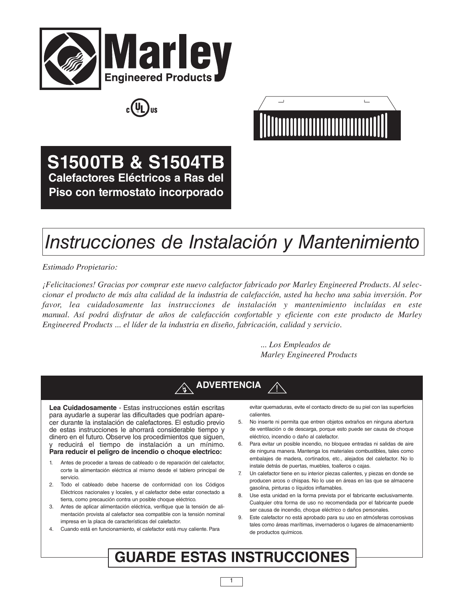





**S1500TB & S1504TB Calefactores Eléctricos a Ras del Piso con termostato incorporado**

# *Instrucciones de Instalación y Mantenimiento*

*Estimado Propietario:*

*¡Felicitaciones! Gracias por comprar este nuevo calefactor fabricado por Marley Engineered Products. Al selec*cionar el producto de más alta calidad de la industria de calefacción, usted ha hecho una sabia inversión. Por *favor, lea cuidadosamente las instrucciones de instalación y mantenimiento incluídas en este manual. Así podrá disfrutar de años de calefacción confortable y eficiente con este producto de Marley Engineered Products ... el líder de la industria en diseño, fabricación, calidad y servicio.*

> *... Los Empleados de Marley Engineered Products*



**Lea Cuidadosamente** - Estas instrucciones están escritas para ayudarle a superar las dificultades que podrían aparecer durante la instalación de calefactores. El estudio previo de estas instrucciones le ahorrará considerable tiempo y dinero en el futuro. Observe los procedimientos que siguen, y reducirá el tiempo de instalación a un mínimo. **Para reducir el peligro de incendio o choque electrico:**

- 1. Antes de proceder a tareas de cableado o de reparación del calefactor, corte la alimentación eléctrica al mismo desde el tablero principal de servicio.
- 2. Todo el cableado debe hacerse de conformidad con los Códigos Eléctricos nacionales y locales, y el calefactor debe estar conectado a tierra, como precaución contra un posible choque eléctrico.
- 3. Antes de aplicar alimentación eléctrica, verifique que la tensión de alimentación provista al calefactor sea compatible con la tensión nominal impresa en la placa de características del calefactor.
- 4. Cuando está en funcionamiento, el calefactor está muy caliente. Para

evitar quemaduras, evite el contacto directo de su piel con las superficies calientes.

- 5. No inserte ni permita que entren objetos extraños en ninguna abertura de ventilación o de descarga, porque esto puede ser causa de choque eléctrico, incendio o daño al calefactor.
- 6. Para evitar un posible incendio, no bloquee entradas ni salidas de aire de ninguna manera. Mantenga los materiales combustibles, tales como embalajes de madera, cortinados, etc., alejados del calefactor. No lo instale detrás de puertas, muebles, toalleros o cajas.
- 7. Un calefactor tiene en su interior piezas calientes, y piezas en donde se producen arcos o chispas. No lo use en áreas en las que se almacene gasolina, pinturas o líquidos inflamables.
- 8. Use esta unidad en la forma prevista por el fabricante exclusivamente. Cualquier otra forma de uso no recomendada por el fabricante puede ser causa de incendio, choque eléctrico o daños personales.
- 9. Este calefactor no está aprobado para su uso en atmósferas corrosivas tales como áreas marítimas, invernaderos o lugares de almacenamiento de productos químicos.

# **GUARDE ESTAS INSTRUCCIONES**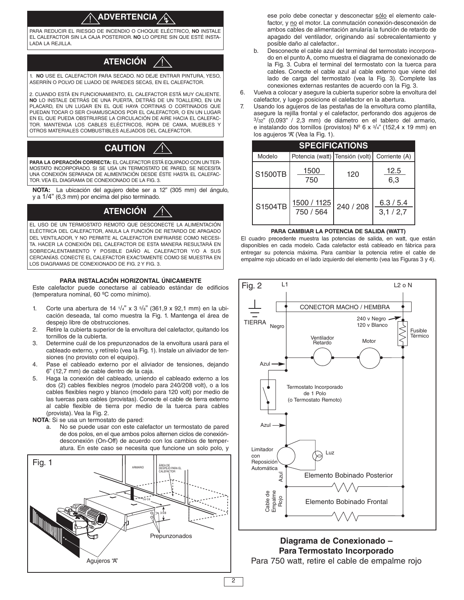#### **ADVERTENCIA** <u>ו</u>

PARA REDUCIR EL RIESGO DE INCENDIO O CHOQUE ELÉCTRICO, **NO** INSTALE EL CALEFACTOR SIN LA CAJA POSTERIOR. **NO** LO OPERE SIN QUE ESTÉ INSTA-LADA LA REJILLA.

#### **ATENCIÓN** !<br>!

1. **NO** USE EL CALEFACTOR PARA SECADO. NO DEJE ENTRAR PINTURA, YESO, ASERRÍN O POLVO DE LIJADO DE PAREDES SECAS, EN EL CALEFACTOR.

2. CUANDO ESTÁ EN FUNCIONAMIENTO, EL CALEFACTOR ESTÁ MUY CALIENTE. **NO** LO INSTALE DETRÁS DE UNA PUERTA, DETRÁS DE UN TOALLERO, EN UN PLACARD, EN UN LUGAR EN EL QUE HAYA CORTINAS O CORTINADOS QUE PUEDAN TOCAR O SER CHAMUSCADOS POR EL CALEFACTOR, O EN UN LUGAR EN EL QUE PUEDA OBSTRUIRSE LA CIRCULACIÓN DE AIRE HACIA EL CALEFAC-TOR. MANTENGA LOS CABLES ELÉCTRICOS, ROPA DE CAMA, MUEBLES Y OTROS MATERIALES COMBUSTIBLES ALEJADOS DEL CALEFACTOR.

# **CAUTION** !

**PARA LA OPERACIÓN CORRECTA:** EL CALEFACTOR ESTÁ EQUIPADO CON UN TER-MOSTATO INCORPORADO. SI SE USA UN TERMOSTATO DE PARED, SE NECESITA UNA CONEXIÓN SEPARADA DE ALIMENTACIÓN DESDE ÉSTE HASTA EL CALEFAC-TOR.VEA EL DIAGRAMA DE CONEXIONADO DE LA FIG. 3.

**NOTA:** La ubicación del agujero debe ser a 12" (305 mm) del ángulo, y a 1/4" (6,3 mm) por encima del piso terminado.

## **ATENCIÓN** !

EL USO DE UN TERMOSTATO REMOTO QUE DESCONECTE LA ALIMENTACIÓN ELÉCTRICA DEL CALEFACTOR, ANULA LA FUNCIÓN DE RETARDO DE APAGADO DEL VENTILADOR, Y NO PERMITE AL CALEFACTOR ENFRIARSE COMO NECESI-TA. HACER LA CONEXIÓN DEL CALEFACTOR DE ESTA MANERA RESULTARÁ EN SOBRECALENTAMIENTO Y POSIBLE DAÑO AL CALEFACTOR Y/O A SUS CERCANÍAS. CONECTE EL CALEFACTOR EXACTAMENTE COMO SE MUESTRA EN LOS DIAGRAMAS DE CONEXIONADO DE FIG. 2 Y FIG. 3.

#### **PARA INSTALACIÓN HORIZONTAL ÚNICAMENTE**

Este calefactor puede conectarse al cableado estándar de edificios (temperatura nominal, 60 ºC como mínimo).

- 1. Corte una abertura de 14  $\frac{1}{4}$ " x 3  $\frac{5}{8}$ " (361,9 x 92,1 mm) en la ubicación deseada, tal como muestra la Fig. 1. Mantenga el área de despejo libre de obstrucciones.
- 2. Retire la cubierta superior de la envoltura del calefactor, quitando los tornillos de la cubierta.
- 3. Determine cuál de los prepunzonados de la envoltura usará para el cableado externo, y retírelo (vea la Fig. 1). Instale un aliviador de tensiones (no provisto con el equipo).
- 4. Pase el cableado externo por el aliviador de tensiones, dejando 6" (12,7 mm) de cable dentro de la caja.
- 5. Haga la conexión del cableado, uniendo el cableado externo a los dos (2) cables flexibles negros (modelo para 240/208 volt), o a los cables flexibles negro y blanco (modelo para 120 volt) por medio de las tuercas para cables (provistas). Conecte el cable de tierra externo al cable flexible de tierra por medio de la tuerca para cables (provista). Vea la Fig. 2.
- **NOTA**: Si se usa un termostato de pared:
	- a. No se puede usar con este calefactor un termostato de pared de dos polos, en el que ambos polos alternen ciclos de conexióndesconexión (On-Off) de acuerdo con los cambios de temperatura. En este caso se necesita que funcione un solo polo, y



ese polo debe conectar y desconectar sólo el elemento calefactor, y no el motor. La conmutación conexión-desconexión de ambos cables de alimentación anularía la función de retardo de apagado del ventilador, originando así sobrecalentamiento y posible daño al calefactor..

- b. Desconecte el cable azul del terminal del termostato incorporado en el punto A, como muestra el diagrama de conexionado de la Fig. 3. Cubra el terminal del termostato con la tuerca para cables. Conecte el cable azul al cable externo que viene del lado de carga del termostato (vea la Fig. 3). Complete las conexiones externas restantes de acuerdo con la Fig. 3.
- 6. Vuelva a colocar y asegure la cubierta superior sobre la envoltura del calefactor, y luego posicione el calefactor en la abertura.
- 7. Usando los agujeros de las pestañas de la envoltura como plantilla, asegure la rejilla frontal y el calefactor, perforando dos agujeros de  $3/32$ " (0,093" / 2,3 mm) de diámetro en el tablero del armario, e instalando dos tornillos (provistos) Nº 6 x  $\frac{3}{4}$ " (152,4 x 19 mm) en los agujeros "A" (Vea la Fig. 1).

| <b>SPECIFICATIONS</b> |                                |           |                      |  |  |  |
|-----------------------|--------------------------------|-----------|----------------------|--|--|--|
| Modelo                | Potencia (watt) Tensión (volt) |           | Corriente (A)        |  |  |  |
| S1500TB               | 1500<br>750                    | 120       | 12.5<br>6,3          |  |  |  |
| S1504TB               | 1500 / 1125<br>750 / 564       | 240 / 208 | 6.3 / 5.4<br>3,1/2,7 |  |  |  |

#### **PARA CAMBIAR LA POTENCIA DE SALIDA (WATT)**

El cuadro precedente muestra las potencias de salida, en watt, que están disponibles en cada modelo. Cada calefactor está cableado en fábrica para entregar su potencia máxima. Para cambiar la potencia retire el cable de empalme rojo ubicado en el lado izquierdo del elemento (vea las Figuras 3 y 4).



# **Diagrama de Conexionado – Para Termostato Incorporado**

Para 750 watt, retire el cable de empalme rojo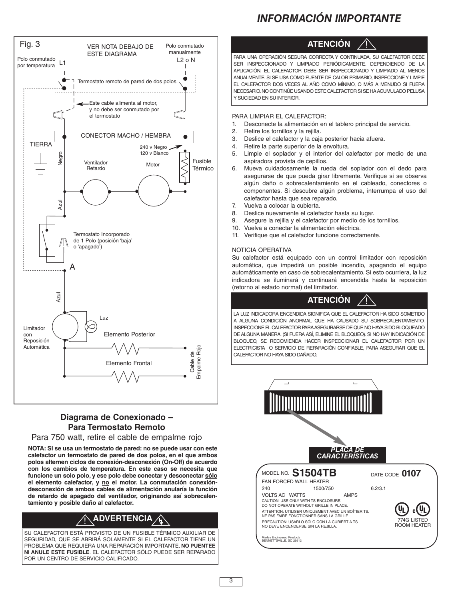

#### **Diagrama de Conexionado – Para Termostato Remoto**

#### Para 750 watt, retire el cable de empalme rojo

**NOTA: Si se usa un termostato de pared: no se puede usar con este calefactor un termostato de pared de dos polos, en el que ambos polos alternen ciclos de conexión-desconexión (On-Off) de acuerdo con los cambios de temperatura. En este caso se necesita que funcione un solo polo, y ese polo debe conectar y desconectar sólo el elemento calefactor, y no el motor. La conmutación conexióndesconexión de ambos cables de alimentación anularía la función de retardo de apagado del ventilador, originando así sobrecalentamiento y posible daño al calefactor.**

#### ! **ADVERTENCIA** ՜կ`

SU CALEFACTOR ESTÁ PROVISTO DE UN FUSIBLE TÉRMICO AUXILIAR DE SEGURIDAD, QUE SE ABRIRÁ SOLAMENTE SI EL CALEFACTOR TIENE UN PROBLEMA QUE REQUIERA UNA REPARACIÓN IMPORTANTE. **NO PUENTEE NI ANULE ESTE FUSIBLE**. EL CALEFACTOR SÓLO PUEDE SER REPARADO POR UN CENTRO DE SERVICIO CALIFICADO.

# *INFORMACIÓN IMPORTANTE*



PARA UNA OPERACIÓN SEGURA CORRECTA Y CONTINUADA, SU CALEFACTOR DEBE SER INSPECCIONADO Y LIMPIADO PERIÓDICAMENTE. DEPENDIENDO DE LA APLICACIÓN, EL CALEFACTOR DEBE SER INSPECCIONADO Y LIMPIADO AL MENOS ANUALMENTE. SI SE USA COMO FUENTE DE CALOR PRIMARIO, INSPECCIONEY LIMPIE EL CALEFACTOR DOS VECES AL AÑO COMO MÍNIMO, O MÁS A MENUDO SI FUERA NECESARIO.NO CONTINÚE USANDO ESTE CALEFACTOR SISE HAACUMULADO PELUSA Y SUCIEDAD EN SU INTERIOR.

PARA LIMPIAR EL CALEFACTOR:

- 1. Desconecte la alimentación en el tablero principal de servicio.
- 2. Retire los tornillos y la rejilla.
- 3. Deslice el calefactor y la caja posterior hacia afuera.
- 4. Retire la parte superior de la envoltura.
- 5. Limpie el soplador y el interior del calefactor por medio de una aspiradora provista de cepillos.
- 6. Mueva cuidadosamente la rueda del soplador con el dedo para asegurarse de que pueda girar libremente. Verifique si se observa algún daño o sobrecalentamiento en el cableado, conectores o componentes. Si descubre algún problema, interrumpa el uso del calefactor hasta que sea reparado.
- 7. Vuelva a colocar la cubierta.
- 8. Deslice nuevamente el calefactor hasta su lugar.<br>9. Asegure la rejilla y el calefactor por medio de los
- Asegure la rejilla y el calefactor por medio de los tornillos.
- 10. Vuelva a conectar la alimentación eléctrica.
- 11. Verifique que el calefactor funcione correctamente.

#### NOTICIA OPERATIVA

Su calefactor está equipado con un control limitador con reposición automática, que impedirá un posible incendio, apagando el equipo automáticamente en caso de sobrecalentamiento. Si esto ocurriera, la luz indicadora se iluminará y continuará encendida hasta la reposición (retorno al estado normal) del limitador.



<u>|</u>

LA LUZ INDICADORA ENCENDIDA SIGNIFICA QUE EL CALEFACTOR HA SIDO SOMETIDO A ALGUNA CONDICIÓN ANORMAL QUE HA CAUSADO SU SOBRECALENTAMIENTO. INSPECCIONEEL CALEFACTOR PARAASEGURARSE DEQUE NOHAYASIDOBLOQUEADO DE ALGUNA MANERA. (SI FUERA ASÍ, ELIMINE EL BLOQUEO). SI NO HAY INDICACIÓN DE BLOQUEO, SE RECOMIENDA HACER INSPECCIONAR EL CALEFACTOR POR UN ELECTRICISTA O SERVICIO DE REPARACIÓN CONFIABLE, PARA ASEGURAR QUE EL CALEFACTOR NO HAYA SIDO DAÑADO.

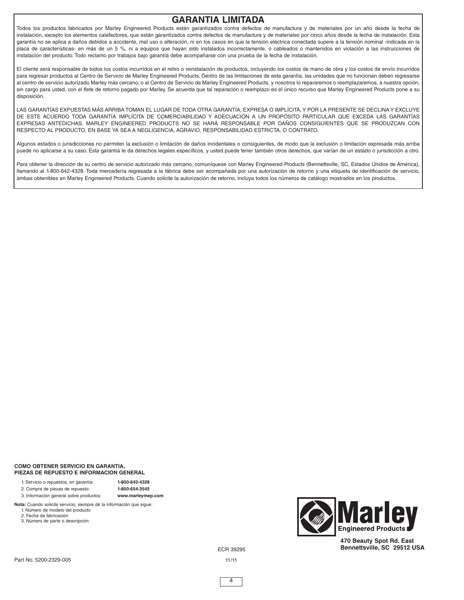### **GARANTIA LIMITADA**

Todos los productos fabricados por Marley Engineered Products están garantizados contra defectos de manufactura y de materiales por un año desde la fecha de instalación, excepto los elementos calefactores, que están garantizados contra defectos de manufactura y de materiales por cinco años desde la fecha de instalación. Esta garantía no se aplica a daños debidos a accidente, mal uso o alteración, ni en los casos en que la tensión eléctrica conectada supere a la tensión nominal -indicada en la placa de características- en más de un 5 %, ni a equipos que hayan sido instalados incorrectamente, o cableados o mantenidos en violación a las instrucciones de instalación del producto. Todo reclamo por trabajos bajo garantía debe acompañarse con una prueba de la fecha de instalación.

El cliente será responsable de todos los costos incurridos en el retiro o reinstalación de productos, incluyendo los costos de mano de obra y los costos de envío incurridos para regresar productos al Centro de Servicio de Marley Engineered Products. Dentro de las limitaciones de esta garantía, las unidades que no funcionan deben regresarse al centro de servicio autorizado Marley más cercano, o al Centro de Servicio de Marley Engineered Products, y nosotros lo repararemos o reemplazaremos, a nuestra opción, sin cargo para usted, con el flete de retorno pagado por Marley. Se acuerda que tal reparación o reemplazo es el único recurso que Marley Engineered Products pone a su disposición.

LAS GARANTÍAS EXPUESTAS MÁS ARRIBA TOMAN EL LUGAR DE TODA OTRA GARANTÍA, EXPRESA O IMPLÍCITA, Y POR LA PRESENTE SE DECLINA Y EXCLUYE DE ESTE ACUERDO TODA GARANTÍA IMPLÍCITA DE COMERCIABILIDAD Y ADECUACIÓN A UN PROPÓSITO PARTICULAR QUE EXCEDA LAS GARANTÍAS EXPRESAS ANTEDICHAS. MARLEY ENGINEERED PRODUCTS NO SE HARÁ RESPONSABLE POR DAÑOS CONSIGUIENTES QUE SE PRODUZCAN CON RESPECTO AL PRODUCTO, EN BASE YA SEA A NEGLIGENCIA, AGRAVIO, RESPONSABILIDAD ESTRICTA, O CONTRATO.

Algunos estados o jurisdicciones no permiten la exclusión o limitación de daños incidentales o consiguientes, de modo que la exclusión o limitación expresada más arriba puede no aplicarse a su caso. Esta garantía le da derechos legales específicos, y usted puede tener también otros derechos, que varían de un estado o jurisdicción a otro.

Para obtener la dirección de su centro de servicio autorizado más cercano, comuníquese con Marley Engineered Products (Bennettsville, SC, Estados Unidos de América), llamando al 1-800-642-4328. Toda mercadería regresada a la fábrica debe ser acompañada por una autorización de retorno y una etiqueta de identificación de servicio, ambas obtenibles en Marley Engineered Products. Cuando solicite la autorización de retorno, incluya todos los números de catálogo mostrados en los productos.

#### **COMO OBTENER SERVICIO EN GARANTIA, PIEZAS DE REPUESTO E INFORMACION GENERAL**

1. Servicio o repuestos, en garantía: **1-800-642-4328**

2. Compra de piezas de repuesto: **1-800-654-3545**

3. Información general sobre productos: **www.marleymep.com**

**Nota:** Cuando solicite servicio, siempre dé la información que sigue:

1. Número de modelo del producto

- 2. Fecha de fabricación
- 3. Número de parte o descripción



**470 Beauty Spot Rd. East Bennettsville, SC 29512 USA**

ECR 39295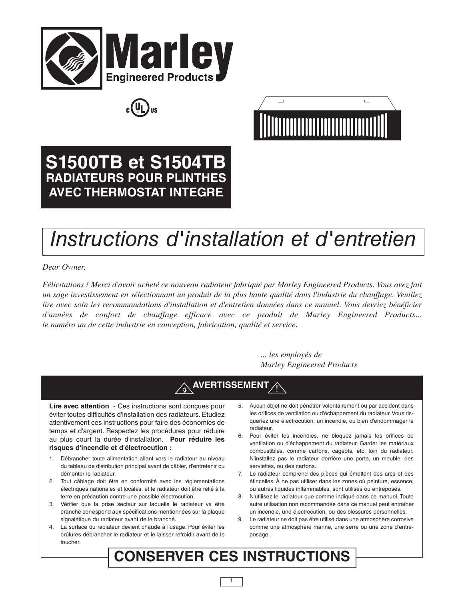





# **S1500TB et S1504TB RADIATEURS POUR PLINTHES AVEC THERMOSTAT INTEGRE**

# *Instructions d'installation et d'entretien*

*Dear Owner,*

Félicitations ! Merci d'avoir acheté ce nouveau radiateur fabriqué par Marley Engineered Products. Vous avez fait un sage investissement en sélectionnant un produit de la plus haute qualité dans l'industrie du chauffage. Veuillez *lire avec soin les recommandations d'installation et d'entretien données dans ce manuel. Vous devriez bénéficier d'années de confort de chauffage efficace avec ce produit de Marley Engineered Products... le numéro un de cette industrie en conception, fabrication, qualité et service.*

> *... les employés de Marley Engineered Products*



# **CONSERVER CES INSTRUCTIONS**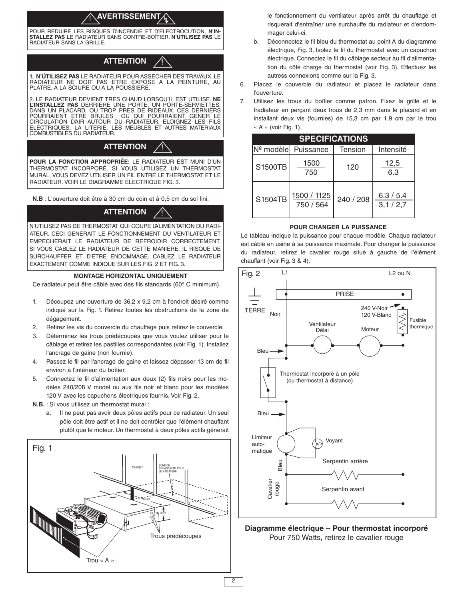#### **AVERTISSEMENT** !

POUR REDUIRE LES RISQUES D'INCENDIE ET D'ELECTROCUTION, **N'IN-STALLEZ PAS** LE RADIATEUR SANS CONTRE-BOÎTIER. **N'UTILISEZ PAS** LE RADIATEUR SANS LA GRILLE.

#### **ATTENTION** !<br>!

1. **N'ÚTILISEZ PAS** LE RADIATEUR POUR ASSECHER DES TRAVAUX. LE RADIATEUR NE DOIT PAS ETRE EXPOSE A LA PEINTURE, AU PLATRE, A LA SCIURE OU A LA POUSSIERE.

2. LE RADIATEUR DEVIENT TRES CHAUD LORSQU'IL EST UTILISE. **NE**<br>L'I**NSTALLEZ PAS** DERRIERE UNE PORTE, UN PORTE-SERVIETTES,<br>DANS UN PLACARD, OU TROP PRES DE RIDEAUX. CES DERNIERS<br>POURRAIENT ETRE BRULES - OU QUI POURRAIENT GE CIRCULATION D'AIR AUTOUR DU RADIATEUR. ELOIGNEZ LES FILS<br>ELECTRIQUES. LA LITERIE. LES MEUBLES ET AUTRES MATERIAUX LA LITERIE, LES MEUBLES ET AUTRES MATERIAUX COMBUSTIBLES DU RADIATEUR.

### **ATTENTION** !

**POUR LA FONCTION APPROPRIÉE:** LE RADIATEUR EST MUNI D'UN THERMOSTAT INCORPORÉ. SI VOUS UTILISEZ UN THERMOSTAT MURAL, VOUS DEVEZ UTILISER UN FIL ENTRE LE THERMOSTAT ET LE RADIATEUR. VOIR LE DIAGRAMME ÉLECTRIQUE FIG. 3.

**N.B** : L'ouverture doit être à 30 cm du coin et à 0,5 cm du sol fini.

### **ATTENTION** !

N'UTILISEZ PAS DE THERMOSTAT QUI COUPE L'ALIMENTATION DU RADI-ATEUR. CECI GENERAIT LE FONCTIONNEMENT DU VENTILATEUR ET EMPECHERAIT LE RADIATEUR DE REFROIDIR CORRECTEMENT. SI VOUS CABLEZ LE RADIATEUR DE CETTE MANIERE, IL RISQUE DE SURCHAUFFER ET D'ETRE ENDOMMAGE. CABLEZ LE RADIATEUR EXACTEMENT COMME INDIQUE SUR LES FIG. 2 ET FIG. 3.

#### **MONTAGE HORIZONTAL UNIQUEMENT**

Ce radiateur peut être câblé avec des fils standards (60° C minimum).

- 1. Découpez une ouverture de 36,2 x 9,2 cm à l'endroit désiré comme indiqué sur la Fig. 1. Retirez toutes les obstructions de la zone de dégagement.
- 2. Retirez les vis du couvercle du chauffage puis retirez le couvercle.
- 3. Déterminez les trous prédécoupés que vous voulez utiliser pour le câblage et retirez les pastilles correspondantes (voir Fig. 1). Installez l'ancrage de gaine (non fournie).
- 4. Passez le fil par l'ancrage de gaine et laissez dépasser 13 cm de fil environ à l'intérieur du boîtier.
- 5. Connectez le fil d'alimentation aux deux (2) fils noirs pour les modèles 240/208 V model ou aux fils noir et blanc pour les modèles 120 V avec les capuchons électriques fournis. Voir Fig. 2.
- **N.B.** : Si vous utilisez un thermostat mural :
	- a. Il ne peut pas avoir deux pôles actifs pour ce radiateur. Un seul pôle doit être actif et il ne doit contrôler que l'élément chauffant plutôt que le moteur. Un thermostat à deux pôles actifs gênerait



le fonctionnement du ventilateur après arrêt du chauffage et risquerait d'entraîner une surchauffe du radiateur et d'endommager celui-ci.

- b. Déconnectez le fil bleu du thermostat au point A du diagramme électrique, Fig. 3. Isolez le fil du thermostat avec un capuchon électrique. Connectez le fil du câblage secteur au fil d'alimentation du côté charge du thermostat (voir Fig. 3). Effectuez les autress connexions comme sur la Fig. 3.
- 6. Placez le couvercle du radiateur et placez le radiateur dans l'ouverture.
- 7. Utilisez les trous du boîtier comme patron. Fixez la grille et le |radiateur en perçant deux trous de 2,3 mm dans le placard et en installant deux vis (fournies) de 15,3 cm par 1,9 cm par le trou « A » (voir Fig. 1).

|         | <b>SPECIFICATIONS</b>    |           |                      |  |  |  |  |
|---------|--------------------------|-----------|----------------------|--|--|--|--|
|         | Nº modèle Puissance      | Tension   | Intensité            |  |  |  |  |
| S1500TB | 1500<br>750              | 120       | 12,5<br>6.3          |  |  |  |  |
| S1504TB | 1500 / 1125<br>750 / 564 | 240 / 208 | 6.3 / 5.4<br>3,1/2,7 |  |  |  |  |

#### **POUR CHANGER LA PUISSANCE**

Le tableau indique la puissance pour chaque modèle. Chaque radiateur est câblé en usine à sa puissance maximale. Pour changer la puissance du radiateur, retirez le cavalier rouge situè à gauche de l'élément chauffant (voir Fig. 3 & 4).



**Diagramme électrique – Pour thermostat incorporé** Pour 750 Watts, retirez le cavalier rouge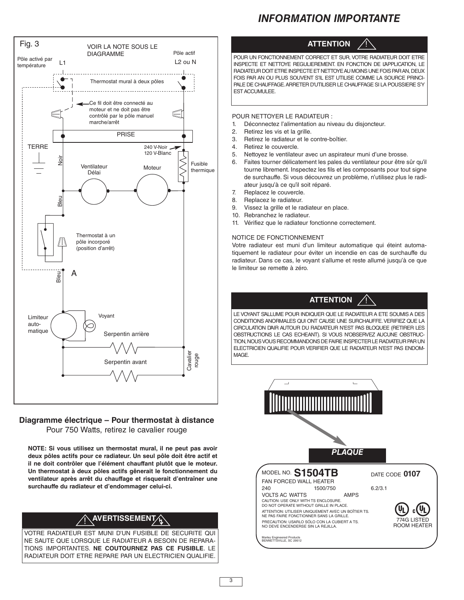# *INFORMATION IMPORTANTE*



# **Diagramme électrique – Pour thermostat à distance**

Pour 750 Watts, retirez le cavalier rouge

**NOTE: Si vous utilisez un thermostat mural, il ne peut pas avoir deux pôles actifs pour ce radiateur. Un seul pôle doit être actif et il ne doit contrôler que l'élément chauffant plutôt que le moteur. Un thermostat à deux pôles actifs gênerait le fonctionnement du ventilateur après arrêt du chauffage et risquerait d'entraîner une surchauffe du radiateur et d'endommager celui-ci.**

# **AVERTISSEMENTA**

VOTRE RADIATEUR EST MUNI D'UN FUSIBLE DE SECURITE QUI NE SAUTE QUE LORSQUE LE RADIATEUR A BESOIN DE REPARA-TIONS IMPORTANTES. **NE COUTOURNEZ PAS CE FUSIBLE**. LE RADIATEUR DOIT ETRE REPARE PAR UN ELECTRICIEN QUALIFIE.



POUR UN FONCTIONNEMENT CORRECT ET SUR, VOTRE RADIATEUR DOIT ETRE INSPECTE ET NETTOYE REGULIEREMENT. EN FONCTION DE L'APPLICATION, LE RADIATEUR DOIT ETRE INSPECTE ET NETTOYE AU MOINS UNE FOIS PAR AN DEUX FOIS PAR AN OU PLUS SOUVENT S'IL EST UTILISE COMME LA SOURCE PRINCI-PALE DE CHAUFFAGE.ARRETER D'UTILISER LE CHAUFFAGE SI LA POUSSIERE S'Y ESTACCUMULEE.

POUR NETTOYER LE RADIATEUR :

- 1. Déconnectez l'alimentation au niveau du disjoncteur.
- 2. Retirez les vis et la grille.
- 3. Retirez le radiateur et le contre-boîtier.
- 4. Retirez le couvercle.
- 5. Nettoyez le ventilateur avec un aspirateur muni d'une brosse.
- 6. Faites tourner délicatement les pales du ventilateur pour être sûr qu'il tourne librement. Inspectez les fils et les composants pour tout signe de surchauffe. Si vous découvrez un problème, n'utilisez plus le radiateur jusqu'à ce qu'il soit réparé.
- 7. Replacez le couvercle.
- 8. Replacez le radiateur.
- 9. Vissez la grille et le radiateur en place.
- 10. Rebranchez le radiateur.
- 11. Vérifiez que le radiateur fonctionne correctement.

#### NOTICE DE FONCTIONNEMENT

Votre radiateur est muni d'un limiteur automatique qui éteint automatiquement le radiateur pour éviter un incendie en cas de surchauffe du radiateur. Dans ce cas, le voyant s'allume et reste allumé jusqu'à ce que le limiteur se remette à zéro.



LE VOYANT S'ALLUME POUR INDIQUER QUE LE RADIATEUR A ETE SOUMIS A DES CONDITIONS ANORMALES QUI ONT CAUSE UNE SURCHAUFFE.VERIFIEZ QUE LA CIRCULATION DAIR AUTOUR DU RADIATEUR N'EST PAS BLOQUEE (RETIRER LES OBSTRUCTIONS LE CAS ECHEANT). SI VOUS N'OBSERVEZ AUCUNE OBSTRUC-TION, NOUS VOUS RECOMMANDONS DE FAIRE INSPECTER LE RADIATEUR PAR UN ELECTRICIEN QUALIFIE POUR VERIFIER QUE LE RADIATEUR N'EST PAS ENDOM-**MAGE**